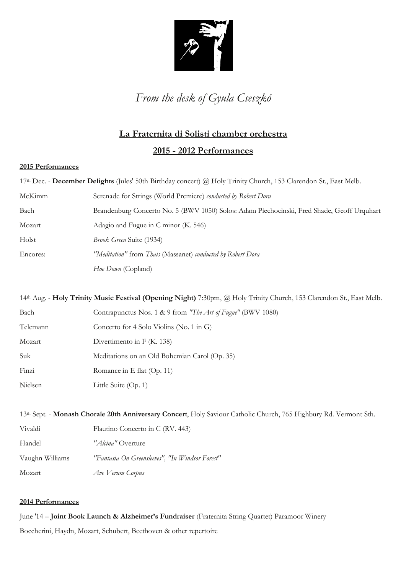

*From the desk of Gyula Cseszkó*

# **La Fraternita di Solisti chamber orchestra**

### **2015 - 2012 Performances**

#### **2015 Performances**

17th Dec. - **December Delights** (Jules' 50th Birthday concert) @ Holy Trinity Church, 153 Clarendon St., East Melb.

| McKimm   | Serenade for Strings (World Premiere) conducted by Robert Dora                             |
|----------|--------------------------------------------------------------------------------------------|
| Bach     | Brandenburg Concerto No. 5 (BWV 1050) Solos: Adam Piechocinski, Fred Shade, Geoff Urquhart |
| Mozart   | Adagio and Fugue in C minor (K. 546)                                                       |
| Holst    | Brook Green Suite (1934)                                                                   |
| Encores: | "Meditation" from Thais (Massanet) conducted by Robert Dora                                |
|          | Hoe Down (Copland)                                                                         |

14th Aug. - **Holy Trinity Music Festival (Opening Night)** 7:30pm, @ Holy Trinity Church, 153 Clarendon St., East Melb. Bach Contrapunctus Nos. 1 & 9 from *"The Art of Fugue"* (BWV 1080) Telemann Concerto for 4 Solo Violins (No. 1 in G) Mozart Divertimento in F (K. 138) Suk Meditations on an Old Bohemian Carol (Op. 35) Finzi Romance in E flat (Op. 11) Nielsen Little Suite (Op. 1)

| 13 <sup>th</sup> Sept. - <b>Monash Chorale 20th Anniversary Concert</b> , Holy Saviour Catholic Church, 765 Highbury Rd. Vermont Sth. |                                                 |  |
|---------------------------------------------------------------------------------------------------------------------------------------|-------------------------------------------------|--|
| Vivaldi                                                                                                                               | Flautino Concerto in C (RV. 443)                |  |
| Handel                                                                                                                                | "Alcina" Overture                               |  |
| Vaughn Williams                                                                                                                       | "Fantasia On Greensleeves", "In Windsor Forest" |  |
| Mozart                                                                                                                                | Ave Verum Corpus                                |  |

#### **2014 Performances**

June '14 – **Joint Book Launch & Alzheimer's Fundraiser** (Fraternita String Quartet) Paramoor Winery Boccherini, Haydn, Mozart, Schubert, Beethoven & other repertoire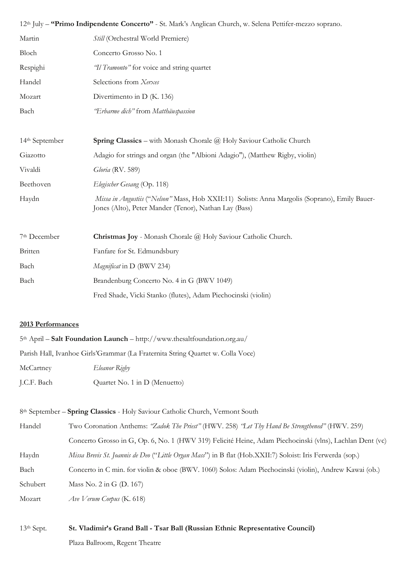| 12 <sup>th</sup> July – "Primo Indipendente Concerto" - St. Mark's Anglican Church, w. Selena Pettifer-mezzo soprano. |                                                                                                                                                         |  |
|-----------------------------------------------------------------------------------------------------------------------|---------------------------------------------------------------------------------------------------------------------------------------------------------|--|
| Martin                                                                                                                | Still (Orchestral World Premiere)                                                                                                                       |  |
| Bloch                                                                                                                 | Concerto Grosso No. 1                                                                                                                                   |  |
| Respighi                                                                                                              | <i>'Il Tramonto"</i> for voice and string quartet                                                                                                       |  |
| Handel                                                                                                                | Selections from Xerxes                                                                                                                                  |  |
| Mozart                                                                                                                | Divertimento in D (K. 136)                                                                                                                              |  |
| Bach                                                                                                                  | 'Erbarme dich" from Matthäuspassion                                                                                                                     |  |
|                                                                                                                       |                                                                                                                                                         |  |
| 14 <sup>th</sup> September                                                                                            | <b>Spring Classics</b> – with Monash Chorale $\overline{a}$ Holy Saviour Catholic Church                                                                |  |
| Giazotto                                                                                                              | Adagio for strings and organ (the "Albioni Adagio"), (Matthew Rigby, violin)                                                                            |  |
| Vivaldi                                                                                                               | Gloria (RV. 589)                                                                                                                                        |  |
| Beethoven                                                                                                             | Elegischer Gesang (Op. 118)                                                                                                                             |  |
| Haydn                                                                                                                 | Missa in Angustiis ("Nelson" Mass, Hob XXII:11) Solists: Anna Margolis (Soprano), Emily Bauer-<br>Jones (Alto), Peter Mander (Tenor), Nathan Lay (Bass) |  |
| 7 <sup>th</sup> December                                                                                              | <b>Christmas Joy</b> - Monash Chorale @ Holy Saviour Catholic Church.                                                                                   |  |
| Britten                                                                                                               | Fanfare for St. Edmundsbury                                                                                                                             |  |
| Bach                                                                                                                  | Magnificat in D (BWV 234)                                                                                                                               |  |
| Bach                                                                                                                  | Brandenburg Concerto No. 4 in G (BWV 1049)                                                                                                              |  |
|                                                                                                                       | Fred Shade, Vicki Stanko (flutes), Adam Piechocinski (violin)                                                                                           |  |

#### **2013 Performances**

| $5th$ April – Salt Foundation Launch – http://www.thesaltfoundation.org.au/ |                                                                                 |  |
|-----------------------------------------------------------------------------|---------------------------------------------------------------------------------|--|
|                                                                             | Parish Hall, Ivanhoe Girls'Grammar (La Fraternita String Quartet w. Colla Voce) |  |
| McCartney                                                                   | Eleanor Rigby                                                                   |  |
| J.C.F. Bach                                                                 | Quartet No. 1 in D (Menuetto)                                                   |  |

8th September – **Spring Classics** - Holy Saviour Catholic Church, Vermont South

| Handel   | Two Coronation Anthems: "Zadok The Priest" (HWV. 258) "Let Thy Hand Be Strengthened" (HWV. 259)            |
|----------|------------------------------------------------------------------------------------------------------------|
|          | Concerto Grosso in G, Op. 6, No. 1 (HWV 319) Felicité Heine, Adam Piechocinski (vlns), Lachlan Dent (vc)   |
| Haydn    | Missa Brevis St. Joannis de Deo ("Little Organ Mass") in B flat (Hob.XXII:7) Soloist: Iris Ferwerda (sop.) |
| Bach     | Concerto in C min. for violin & oboe (BWV. 1060) Solos: Adam Piechocinski (violin), Andrew Kawai (ob.)     |
| Schubert | Mass No. $2$ in G (D. 167)                                                                                 |
| Mozart   | Ave Verum Corpus (K. 618)                                                                                  |

### 13th Sept. **St. Vladimir's Grand Ball - Tsar Ball (Russian Ethnic Representative Council)**

Plaza Ballroom, Regent Theatre